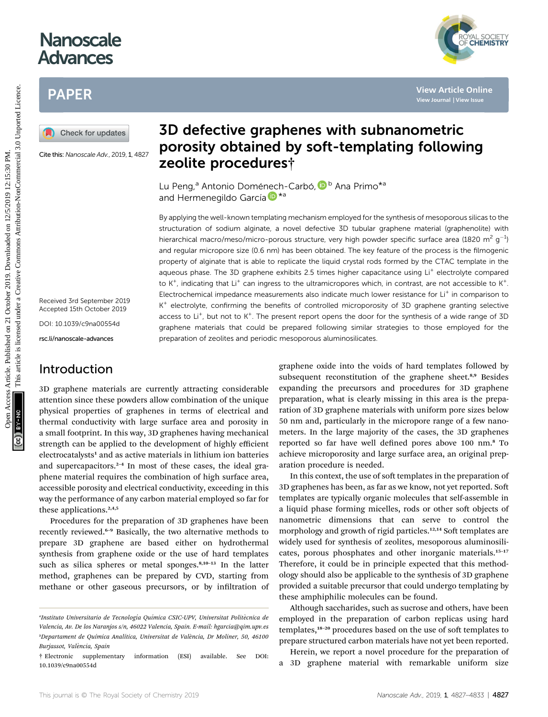# **Nanoscale** Advances

# PAPER

Cite this: Nanoscale Adv., 2019, 1, 4827

Received 3rd September 2019 Accepted 15th October 2019

DOI: 10.1039/c9na00554d

rsc.li/nanoscale-advances

### Introduction

3D graphene materials are currently attracting considerable attention since these powders allow combination of the unique physical properties of graphenes in terms of electrical and thermal conductivity with large surface area and porosity in a small footprint. In this way, 3D graphenes having mechanical strength can be applied to the development of highly efficient electrocatalysts<sup>1</sup> and as active materials in lithium ion batteries and supercapacitors. $2-4$  In most of these cases, the ideal graphene material requires the combination of high surface area, accessible porosity and electrical conductivity, exceeding in this way the performance of any carbon material employed so far for these applications. $2,4,5$ 

Procedures for the preparation of 3D graphenes have been recently reviewed.<sup>6</sup>–<sup>9</sup> Basically, the two alternative methods to prepare 3D graphene are based either on hydrothermal synthesis from graphene oxide or the use of hard templates such as silica spheres or metal sponges.<sup>8,10-13</sup> In the latter method, graphenes can be prepared by CVD, starting from methane or other gaseous precursors, or by infiltration of



Lu Peng,<sup>a</sup> Antonio Domé[nec](http://orcid.org/0000-0002-9664-493X)h-Carbó, ID <sup>b</sup> Ana Primo<sup>\*a</sup> and Hermenegildo García D<sup>\*a</sup>

By applying the well-known templating mechanism employed for the synthesis of mesoporous silicas to the structuration of sodium alginate, a novel defective 3D tubular graphene material (graphenolite) with hierarchical macro/meso/micro-porous structure, very high powder specific surface area (1820 m<sup>2</sup> g<sup>-1</sup>) and regular micropore size (0.6 nm) has been obtained. The key feature of the process is the filmogenic property of alginate that is able to replicate the liquid crystal rods formed by the CTAC template in the aqueous phase. The 3D graphene exhibits 2.5 times higher capacitance using Li<sup>+</sup> electrolyte compared to K<sup>+</sup>, indicating that Li<sup>+</sup> can ingress to the ultramicropores which, in contrast, are not accessible to K<sup>+</sup>. Electrochemical impedance measurements also indicate much lower resistance for Li<sup>+</sup> in comparison to  $K^+$  electrolyte, confirming the benefits of controlled microporosity of 3D graphene granting selective access to  $Li^+$ , but not to  $K^+$ . The present report opens the door for the synthesis of a wide range of 3D graphene materials that could be prepared following similar strategies to those employed for the preparation of zeolites and periodic mesoporous aluminosilicates. PAPER<br> **(A)** Check for updates<br> **(A)** Check for updates<br>
Check for updates<br>
Check for updates<br>
Check for updates<br>
Check for updates<br>
Check for updates<br>
Check for updates<br>
Check for updates<br>
Check proceedures<sup>+</sup><br>
Lu Peng<sup>4</sup>

graphene oxide into the voids of hard templates followed by subsequent reconstitution of the graphene sheet.<sup>8,9</sup> Besides expanding the precursors and procedures for 3D graphene preparation, what is clearly missing in this area is the preparation of 3D graphene materials with uniform pore sizes below 50 nm and, particularly in the micropore range of a few nanometers. In the large majority of the cases, the 3D graphenes reported so far have well defined pores above 100 nm.<sup>8</sup> To achieve microporosity and large surface area, an original preparation procedure is needed.

In this context, the use of soft templates in the preparation of 3D graphenes has been, as far as we know, not yet reported. So templates are typically organic molecules that self-assemble in a liquid phase forming micelles, rods or other soft objects of nanometric dimensions that can serve to control the morphology and growth of rigid particles.<sup>12,14</sup> Soft templates are widely used for synthesis of zeolites, mesoporous aluminosilicates, porous phosphates and other inorganic materials.<sup>15-17</sup> Therefore, it could be in principle expected that this methodology should also be applicable to the synthesis of 3D graphene provided a suitable precursor that could undergo templating by these amphiphilic molecules can be found.

Although saccharides, such as sucrose and others, have been employed in the preparation of carbon replicas using hard templates,<sup>18-20</sup> procedures based on the use of soft templates to prepare structured carbon materials have not yet been reported.

Herein, we report a novel procedure for the preparation of a 3D graphene material with remarkable uniform size



ªInstituto Universitario de Tecnología Química CSIC-UPV, Universitat Politècnica de Valencia, Av. De los Naranjos s/n, 46022 Valencia, Spain. E-mail: hgarcia@qim.upv.es <sup>b</sup>Departament de Química Analítica, Universitat de València, Dr Moliner, 50, 46100 Burjassot, València, Spain

<sup>†</sup> Electronic supplementary information (ESI) available. See DOI: 10.1039/c9na00554d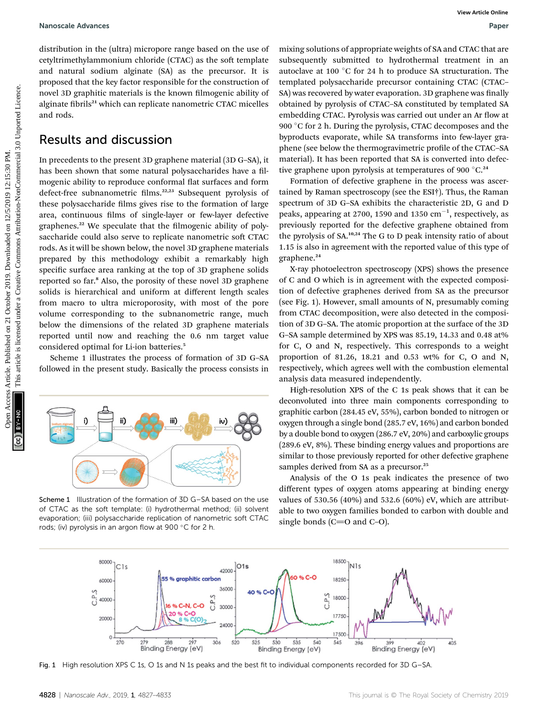#### Nanoscale Advances Paper

distribution in the (ultra) micropore range based on the use of cetyltrimethylammonium chloride (CTAC) as the soft template and natural sodium alginate (SA) as the precursor. It is proposed that the key factor responsible for the construction of novel 3D graphitic materials is the known filmogenic ability of alginate fibrils<sup>21</sup> which can replicate nanometric CTAC micelles and rods.

### Results and discussion

In precedents to the present 3D graphene material (3D G–SA), it has been shown that some natural polysaccharides have a filmogenic ability to reproduce conformal flat surfaces and form defect-free subnanometric films.<sup>22,23</sup> Subsequent pyrolysis of these polysaccharide films gives rise to the formation of large area, continuous films of single-layer or few-layer defective graphenes.<sup>22</sup> We speculate that the filmogenic ability of polysaccharide could also serve to replicate nanometric soft CTAC rods. As it will be shown below, the novel 3D graphene materials prepared by this methodology exhibit a remarkably high specific surface area ranking at the top of 3D graphene solids reported so far.<sup>8</sup> Also, the porosity of these novel 3D graphene solids is hierarchical and uniform at different length scales from macro to ultra microporosity, with most of the pore volume corresponding to the subnanometric range, much below the dimensions of the related 3D graphene materials reported until now and reaching the 0.6 nm target value considered optimal for Li-ion batteries.<sup>5</sup> Nanosale Advances<br>
distribution in die (ultra) micropole for the contraction of templated projection<br>
control in the control in the set of the control in the set of the control in the set of the set of the set of the set

Scheme 1 illustrates the process of formation of 3D G–SA followed in the present study. Basically the process consists in



Scheme 1 Illustration of the formation of 3D G–SA based on the use of CTAC as the soft template: (i) hydrothermal method; (ii) solvent evaporation; (iii) polysaccharide replication of nanometric soft CTAC rods; (iv) pyrolysis in an argon flow at 900 °C for 2 h.

mixing solutions of appropriate weights of SA and CTAC that are subsequently submitted to hydrothermal treatment in an autoclave at 100 $\degree$ C for 24 h to produce SA structuration. The templated polysaccharide precursor containing CTAC (CTAC– SA) was recovered by water evaporation. 3D graphene was finally obtained by pyrolysis of CTAC–SA constituted by templated SA embedding CTAC. Pyrolysis was carried out under an Ar flow at 900  $\degree$ C for 2 h. During the pyrolysis, CTAC decomposes and the byproducts evaporate, while SA transforms into few-layer graphene (see below the thermogravimetric profile of the CTAC–SA material). It has been reported that SA is converted into defective graphene upon pyrolysis at temperatures of 900 $^{\circ}$ C.<sup>24</sup>

Formation of defective graphene in the process was ascertained by Raman spectroscopy (see the ESI†). Thus, the Raman spectrum of 3D G–SA exhibits the characteristic 2D, G and D peaks, appearing at 2700, 1590 and 1350  $\mathrm{cm}^{-1}$ , respectively, as previously reported for the defective graphene obtained from the pyrolysis of  $SA.^{10,24}$  The G to D peak intensity ratio of about 1.15 is also in agreement with the reported value of this type of graphene.<sup>24</sup>

X-ray photoelectron spectroscopy (XPS) shows the presence of C and O which is in agreement with the expected composition of defective graphenes derived from SA as the precursor (see Fig. 1). However, small amounts of N, presumably coming from CTAC decomposition, were also detected in the composition of 3D G–SA. The atomic proportion at the surface of the 3D G–SA sample determined by XPS was 85.19, 14.33 and 0.48 at% for C, O and N, respectively. This corresponds to a weight proportion of 81.26, 18.21 and 0.53 wt% for C, O and N, respectively, which agrees well with the combustion elemental analysis data measured independently.

High-resolution XPS of the C 1s peak shows that it can be deconvoluted into three main components corresponding to graphitic carbon (284.45 eV, 55%), carbon bonded to nitrogen or oxygen through a single bond (285.7 eV, 16%) and carbon bonded by a double bond to oxygen (286.7 eV, 20%) and carboxylic groups (289.6 eV, 8%). These binding energy values and proportions are similar to those previously reported for other defective graphene samples derived from SA as a precursor.<sup>25</sup>

Analysis of the O 1s peak indicates the presence of two different types of oxygen atoms appearing at binding energy values of 530.56 (40%) and 532.6 (60%) eV, which are attributable to two oxygen families bonded to carbon with double and single bonds ( $C=O$  and  $C-O$ ).



Fig. 1 High resolution XPS C 1s, O 1s and N 1s peaks and the best fit to individual components recorded for 3D G-SA.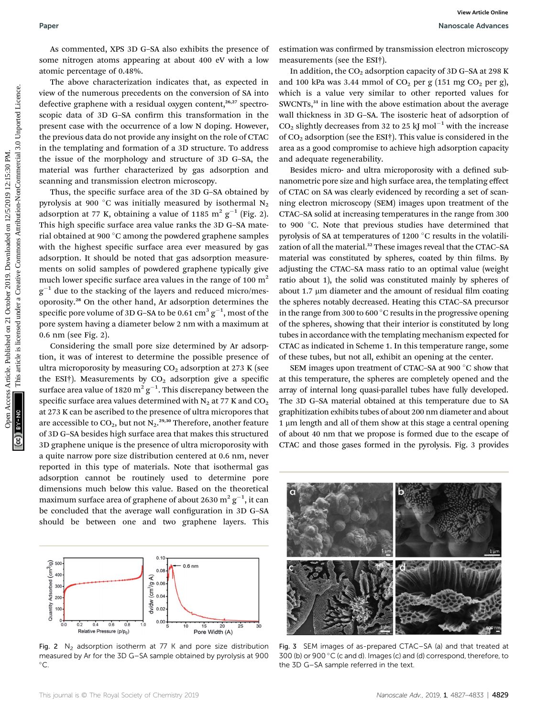As commented, XPS 3D G–SA also exhibits the presence of some nitrogen atoms appearing at about 400 eV with a low atomic percentage of 0.48%.

The above characterization indicates that, as expected in view of the numerous precedents on the conversion of SA into defective graphene with a residual oxygen content,<sup>26,27</sup> spectroscopic data of 3D G-SA confirm this transformation in the present case with the occurrence of a low N doping. However, the previous data do not provide any insight on the role of CTAC in the templating and formation of a 3D structure. To address the issue of the morphology and structure of 3D G–SA, the material was further characterized by gas adsorption and scanning and transmission electron microscopy.

Thus, the specific surface area of the 3D G-SA obtained by pyrolysis at 900 °C was initially measured by isothermal  $N_2$ adsorption at 77 K, obtaining a value of 1185 m<sup>2</sup>  $g^{-1}$  (Fig. 2). This high specific surface area value ranks the 3D G-SA material obtained at 900 °C among the powdered graphene samples with the highest specific surface area ever measured by gas adsorption. It should be noted that gas adsorption measurements on solid samples of powdered graphene typically give much lower specific surface area values in the range of 100  $m<sup>2</sup>$  $g^{-1}$  due to the stacking of the layers and reduced micro/mesoporosity.<sup>28</sup> On the other hand, Ar adsorption determines the specific pore volume of 3D G–SA to be 0.61  $\mathrm{cm}^3 \, \mathrm{g}^{-1}$ , most of the pore system having a diameter below 2 nm with a maximum at 0.6 nm (see Fig. 2).

Considering the small pore size determined by Ar adsorption, it was of interest to determine the possible presence of ultra microporosity by measuring  $CO<sub>2</sub>$  adsorption at 273 K (see the ESI<sup>†</sup>). Measurements by  $CO<sub>2</sub>$  adsorption give a specific surface area value of 1820  $\mathrm{m^2\,g^{-1}}.$  This discrepancy between the specific surface area values determined with  $N_2$  at 77 K and  $CO_2$ at 273 K can be ascribed to the presence of ultra micropores that are accessible to CO<sub>2</sub>, but not N<sub>2</sub>.<sup>29,30</sup> Therefore, another feature of 3D G–SA besides high surface area that makes this structured 3D graphene unique is the presence of ultra microporosity with a quite narrow pore size distribution centered at 0.6 nm, never reported in this type of materials. Note that isothermal gas adsorption cannot be routinely used to determine pore dimensions much below this value. Based on the theoretical maximum surface area of graphene of about 2630  $\mathrm{m^2\,g^{-1}}$ , it can be concluded that the average wall configuration in 3D G-SA should be between one and two graphene layers. This



Fig. 2  $N_2$  adsorption isotherm at 77 K and pore size distribution measured by Ar for the 3D G–SA sample obtained by pyrolysis at 900  $^{\circ}$ C.

estimation was confirmed by transmission electron microscopy measurements (see the ESI†).

In addition, the  $CO<sub>2</sub>$  adsorption capacity of 3D G–SA at 298 K and 100 kPa was 3.44 mmol of  $CO<sub>2</sub>$  per g (151 mg  $CO<sub>2</sub>$  per g), which is a value very similar to other reported values for SWCNTs,<sup>31</sup> in line with the above estimation about the average wall thickness in 3D G–SA. The isosteric heat of adsorption of  $CO<sub>2</sub>$  slightly decreases from 32 to 25 kJ mol<sup>-1</sup> with the increase of  $CO<sub>2</sub>$  adsorption (see the ESI†). This value is considered in the area as a good compromise to achieve high adsorption capacity and adequate regenerability.

Besides micro- and ultra microporosity with a defined subnanometric pore size and high surface area, the templating effect of CTAC on SA was clearly evidenced by recording a set of scanning electron microscopy (SEM) images upon treatment of the CTAC–SA solid at increasing temperatures in the range from 300 to 900 °C. Note that previous studies have determined that pyrolysis of SA at temperatures of  $1200\degree$ C results in the volatilization of all the material.<sup>32</sup> These images reveal that the CTAC-SA material was constituted by spheres, coated by thin films. By adjusting the CTAC–SA mass ratio to an optimal value (weight ratio about 1), the solid was constituted mainly by spheres of about 1.7  $\mu$ m diameter and the amount of residual film coating the spheres notably decreased. Heating this CTAC–SA precursor in the range from 300 to 600 $^{\circ}$ C results in the progressive opening of the spheres, showing that their interior is constituted by long tubes in accordance with the templating mechanism expected for CTAC as indicated in Scheme 1. In this temperature range, some of these tubes, but not all, exhibit an opening at the center. Paper<br>
Manage Alternative Article 2019. Manusian on 2019. However 2019. The simulation of the simulation of the simulation decreases are the simulation of the simulation of the simulation of the simulation of the simulati

SEM images upon treatment of CTAC-SA at 900 °C show that at this temperature, the spheres are completely opened and the array of internal long quasi-parallel tubes have fully developed. The 3D G–SA material obtained at this temperature due to SA graphitization exhibits tubes of about 200 nm diameter and about 1 um length and all of them show at this stage a central opening of about 40 nm that we propose is formed due to the escape of CTAC and those gases formed in the pyrolysis. Fig. 3 provides



Fig. 3 SEM images of as-prepared CTAC–SA (a) and that treated at 300 (b) or 900 °C (c and d). Images (c) and (d) correspond, therefore, to the 3D G–SA sample referred in the text.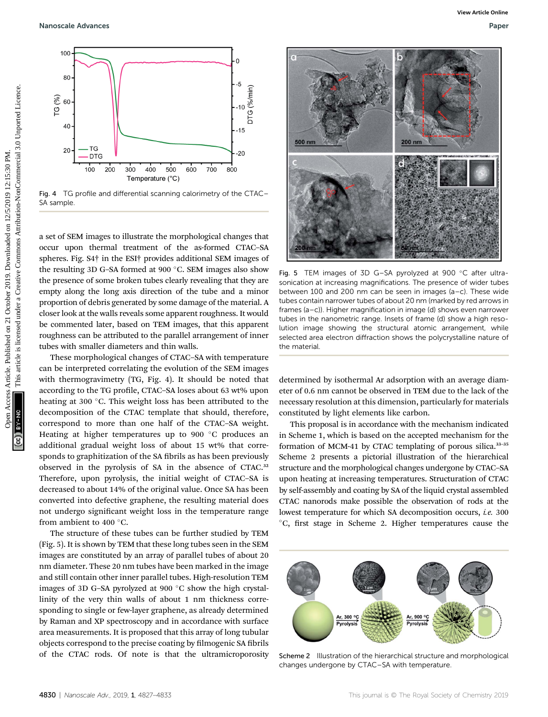

Fig. 4 TG profile and differential scanning calorimetry of the CTAC– SA sample.

a set of SEM images to illustrate the morphological changes that occur upon thermal treatment of the as-formed CTAC–SA spheres. Fig. S4† in the ESI† provides additional SEM images of the resulting 3D G–SA formed at 900  $^{\circ}$ C. SEM images also show the presence of some broken tubes clearly revealing that they are empty along the long axis direction of the tube and a minor proportion of debris generated by some damage of the material. A closer look at the walls reveals some apparent roughness. It would be commented later, based on TEM images, that this apparent roughness can be attributed to the parallel arrangement of inner tubes with smaller diameters and thin walls.

These morphological changes of CTAC–SA with temperature can be interpreted correlating the evolution of the SEM images with thermogravimetry (TG, Fig. 4). It should be noted that according to the TG profile, CTAC-SA loses about 63 wt% upon heating at 300 °C. This weight loss has been attributed to the decomposition of the CTAC template that should, therefore, correspond to more than one half of the CTAC–SA weight. Heating at higher temperatures up to 900 $\degree$ C produces an additional gradual weight loss of about 15 wt% that corresponds to graphitization of the SA fibrils as has been previously observed in the pyrolysis of SA in the absence of CTAC.<sup>32</sup> Therefore, upon pyrolysis, the initial weight of CTAC–SA is decreased to about 14% of the original value. Once SA has been converted into defective graphene, the resulting material does not undergo significant weight loss in the temperature range from ambient to 400 $\degree$ C.

The structure of these tubes can be further studied by TEM (Fig. 5). It is shown by TEM that these long tubes seen in the SEM images are constituted by an array of parallel tubes of about 20 nm diameter. These 20 nm tubes have been marked in the image and still contain other inner parallel tubes. High-resolution TEM images of 3D G–SA pyrolyzed at 900 $\degree$ C show the high crystallinity of the very thin walls of about 1 nm thickness corresponding to single or few-layer graphene, as already determined by Raman and XP spectroscopy and in accordance with surface area measurements. It is proposed that this array of long tubular objects correspond to the precise coating by filmogenic SA fibrils of the CTAC rods. Of note is that the ultramicroporosity



Fig. 5 TEM images of 3D G-SA pyrolyzed at 900 °C after ultrasonication at increasing magnifications. The presence of wider tubes between 100 and 200 nm can be seen in images (a–c). These wide tubes contain narrower tubes of about 20 nm (marked by red arrows in frames (a–c)). Higher magnification in image (d) shows even narrower tubes in the nanometric range. Insets of frame (d) show a high resolution image showing the structural atomic arrangement, while selected area electron diffraction shows the polycrystalline nature of the material.

determined by isothermal Ar adsorption with an average diameter of 0.6 nm cannot be observed in TEM due to the lack of the necessary resolution at this dimension, particularly for materials constituted by light elements like carbon.

This proposal is in accordance with the mechanism indicated in Scheme 1, which is based on the accepted mechanism for the formation of MCM-41 by CTAC templating of porous silica.<sup>33-35</sup> Scheme 2 presents a pictorial illustration of the hierarchical structure and the morphological changes undergone by CTAC–SA upon heating at increasing temperatures. Structuration of CTAC by self-assembly and coating by SA of the liquid crystal assembled CTAC nanorods make possible the observation of rods at the lowest temperature for which SA decomposition occurs, i.e. 300 °C, first stage in Scheme 2. Higher temperatures cause the



Scheme 2 Illustration of the hierarchical structure and morphological changes undergone by CTAC–SA with temperature.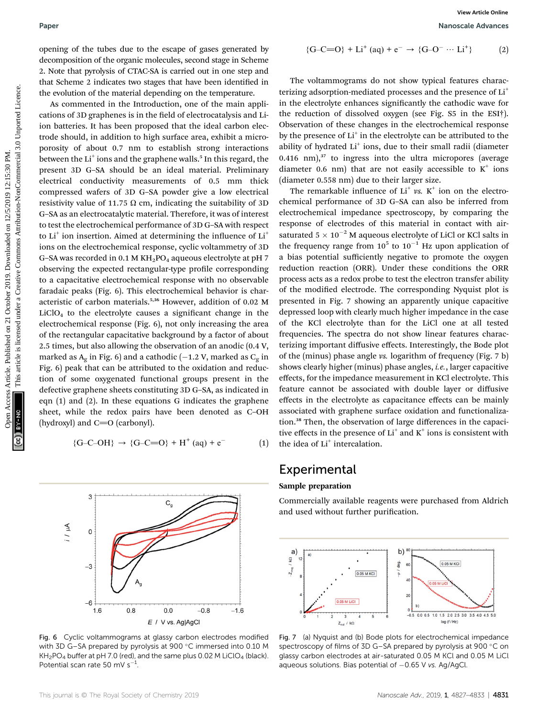opening of the tubes due to the escape of gases generated by decomposition of the organic molecules, second stage in Scheme 2. Note that pyrolysis of CTAC-SA is carried out in one step and that Scheme 2 indicates two stages that have been identified in the evolution of the material depending on the temperature.

As commented in the Introduction, one of the main applications of 3D graphenes is in the field of electrocatalysis and Liion batteries. It has been proposed that the ideal carbon electrode should, in addition to high surface area, exhibit a microporosity of about 0.7 nm to establish strong interactions between the  $Li<sup>+</sup>$  ions and the graphene walls.<sup>5</sup> In this regard, the present 3D G–SA should be an ideal material. Preliminary electrical conductivity measurements of 0.5 mm thick compressed wafers of 3D G–SA powder give a low electrical resistivity value of 11.75  $\Omega$  cm, indicating the suitability of 3D G–SA as an electrocatalytic material. Therefore, it was of interest to test the electrochemical performance of 3D G–SA with respect to  $Li^+$  ion insertion. Aimed at determining the influence of  $Li^+$ ions on the electrochemical response, cyclic voltammetry of 3D G–SA was recorded in  $0.1$  M KH<sub>2</sub>PO<sub>4</sub> aqueous electrolyte at pH 7 observing the expected rectangular-type profile corresponding to a capacitative electrochemical response with no observable faradaic peaks (Fig. 6). This electrochemical behavior is characteristic of carbon materials.5,36 However, addition of 0.02 M  $LiClO<sub>4</sub>$  to the electrolyte causes a significant change in the electrochemical response (Fig. 6), not only increasing the area of the rectangular capacitative background by a factor of about 2.5 times, but also allowing the observation of an anodic (0.4 V, marked as  $A_g$  in Fig. 6) and a cathodic (-1.2 V, marked as  $C_g$  in Fig. 6) peak that can be attributed to the oxidation and reduction of some oxygenated functional groups present in the defective graphene sheets constituting 3D G–SA, as indicated in eqn (1) and (2). In these equations G indicates the graphene sheet, while the redox pairs have been denoted as C–OH (hydroxyl) and  $C=O$  (carbonyl). Paper<br> **Showned one conservation** of the steame of gases generated by<br>  $(-G-C-0) + L\Gamma$  (a)<br>  $\Delta$  chosen paper interviewent and the steame of the steame interviewent interveed paper and the steame of the steame of the conserv

$$
{G-C-OH} \rightarrow {G-C=O} + H^{+} (aq) + e^{-} \tag{1}
$$

C

 $0.0$ 

E / V vs. Ag|AgCl

 $-0.8$ 

 $-1.6$ 

Fig. 6 Cyclic voltammograms at glassy carbon electrodes modified with 3D G–SA prepared by pyrolysis at 900 °C immersed into 0.10 M 
$$
KH_2PO_4
$$
 buffer at pH 7.0 (red), and the same plus 0.02 M LiClO<sub>4</sub> (black). Potential scan rate 50 mV s<sup>-1</sup>.

Paper Nanoscale Advances

$$
{G-C=O} + Li^{+} (aq) + e^{-} \rightarrow {G-O^{-} \cdots Li^{+}}
$$
 (2)

The voltammograms do not show typical features characterizing adsorption-mediated processes and the presence of Li<sup>+</sup> in the electrolyte enhances significantly the cathodic wave for the reduction of dissolved oxygen (see Fig. S5 in the ESI†). Observation of these changes in the electrochemical response by the presence of  $Li<sup>+</sup>$  in the electrolyte can be attributed to the ability of hydrated Li<sup>+</sup> ions, due to their small radii (diameter  $0.416$  nm), $37$  to ingress into the ultra micropores (average diameter 0.6 nm) that are not easily accessible to  $K^+$  ions (diameter 0.558 nm) due to their larger size.

The remarkable influence of  $Li^+$  vs.  $K^+$  ion on the electrochemical performance of 3D G–SA can also be inferred from electrochemical impedance spectroscopy, by comparing the response of electrodes of this material in contact with airsaturated  $5 \times 10^{-2}$  M aqueous electrolyte of LiCl or KCl salts in the frequency range from  $10^5$  to  $10^{-1}$  Hz upon application of a bias potential sufficiently negative to promote the oxygen reduction reaction (ORR). Under these conditions the ORR process acts as a redox probe to test the electron transfer ability of the modified electrode. The corresponding Nyquist plot is presented in Fig. 7 showing an apparently unique capacitive depressed loop with clearly much higher impedance in the case of the KCl electrolyte than for the LiCl one at all tested frequencies. The spectra do not show linear features characterizing important diffusive effects. Interestingly, the Bode plot of the (minus) phase angle vs. logarithm of frequency (Fig. 7 b) shows clearly higher (minus) phase angles, *i.e.*, larger capacitive effects, for the impedance measurement in KCl electrolyte. This feature cannot be associated with double layer or diffusive effects in the electrolyte as capacitance effects can be mainly associated with graphene surface oxidation and functionalization.<sup>38</sup> Then, the observation of large differences in the capacitive effects in the presence of  $Li<sup>+</sup>$  and  $K<sup>+</sup>$  ions is consistent with the idea of Li<sup>+</sup> intercalation.

### Experimental

#### Sample preparation

Commercially available reagents were purchased from Aldrich and used without further purification.



Fig. 7 (a) Nyquist and (b) Bode plots for electrochemical impedance spectroscopy of films of 3D G-SA prepared by pyrolysis at 900 °C on glassy carbon electrodes at air-saturated 0.05 M KCl and 0.05 M LiCl aqueous solutions. Bias potential of  $-0.65$  V vs. Ag/AgCl.

 $0.8$ 

3

 $\circ$ 

 $-\epsilon$ 

 $-6$ 

1.6

And I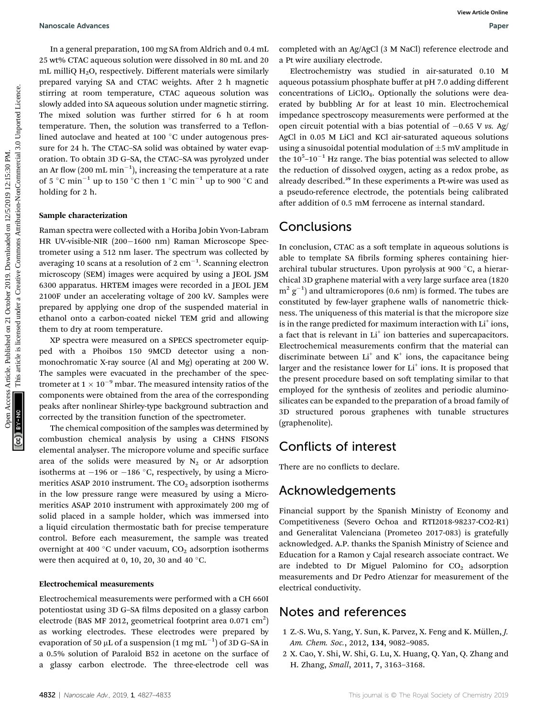In a general preparation, 100 mg SA from Aldrich and 0.4 mL 25 wt% CTAC aqueous solution were dissolved in 80 mL and 20 mL milliQ  $H<sub>2</sub>O$ , respectively. Different materials were similarly prepared varying SA and CTAC weights. After 2 h magnetic stirring at room temperature, CTAC aqueous solution was slowly added into SA aqueous solution under magnetic stirring. The mixed solution was further stirred for 6 h at room temperature. Then, the solution was transferred to a Teflonlined autoclave and heated at 100 °C under autogenous pressure for 24 h. The CTAC–SA solid was obtained by water evaporation. To obtain 3D G–SA, the CTAC–SA was pyrolyzed under an Ar flow (200 mL  $\mathrm{min}^{-1}$ ), increasing the temperature at a rate of 5 °C min<sup>-1</sup> up to 150 °C then 1 °C min<sup>-1</sup> up to 900 °C and holding for 2 h.

#### Sample characterization

Raman spectra were collected with a Horiba Jobin Yvon-Labram HR UV-visible-NIR (200-1600 nm) Raman Microscope Spectrometer using a 512 nm laser. The spectrum was collected by averaging 10 scans at a resolution of 2  $\rm cm^{-1}.$  Scanning electron microscopy (SEM) images were acquired by using a JEOL JSM 6300 apparatus. HRTEM images were recorded in a JEOL JEM 2100F under an accelerating voltage of 200 kV. Samples were prepared by applying one drop of the suspended material in ethanol onto a carbon-coated nickel TEM grid and allowing them to dry at room temperature.

XP spectra were measured on a SPECS spectrometer equipped with a Phoibos 150 9MCD detector using a nonmonochromatic X-ray source (Al and Mg) operating at 200 W. The samples were evacuated in the prechamber of the spectrometer at  $1 \times 10^{-9}$  mbar. The measured intensity ratios of the components were obtained from the area of the corresponding peaks after nonlinear Shirley-type background subtraction and corrected by the transition function of the spectrometer.

The chemical composition of the samples was determined by combustion chemical analysis by using a CHNS FISONS elemental analyser. The micropore volume and specific surface area of the solids were measured by  $N_2$  or Ar adsorption isotherms at  $-196$  or  $-186$  °C, respectively, by using a Micromeritics ASAP 2010 instrument. The  $CO<sub>2</sub>$  adsorption isotherms in the low pressure range were measured by using a Micromeritics ASAP 2010 instrument with approximately 200 mg of solid placed in a sample holder, which was immersed into a liquid circulation thermostatic bath for precise temperature control. Before each measurement, the sample was treated overnight at 400 °C under vacuum,  $CO<sub>2</sub>$  adsorption isotherms were then acquired at 0, 10, 20, 30 and 40  $^{\circ}$ C.

### Electrochemical measurements

Electrochemical measurements were performed with a CH 660I potentiostat using 3D G-SA films deposited on a glassy carbon electrode (BAS MF 2012, geometrical footprint area 0.071  $\text{cm}^2\text{)}$ as working electrodes. These electrodes were prepared by evaporation of 50  $\mu$ L of a suspension  $(1\text{ mg }\mathrm{mL}^{-1})$  of 3D G–SA in a 0.5% solution of Paraloid B52 in acetone on the surface of a glassy carbon electrode. The three-electrode cell was

completed with an Ag/AgCl (3 M NaCl) reference electrode and a Pt wire auxiliary electrode.

Electrochemistry was studied in air-saturated 0.10 M aqueous potassium phosphate buffer at pH 7.0 adding different concentrations of LiClO4. Optionally the solutions were deaerated by bubbling Ar for at least 10 min. Electrochemical impedance spectroscopy measurements were performed at the open circuit potential with a bias potential of  $-0.65$  V vs. Ag/ AgCl in 0.05 M LiCl and KCl air-saturated aqueous solutions using a sinusoidal potential modulation of  $\pm$ 5 mV amplitude in the  $10^{5}$ - $10^{-1}$  Hz range. The bias potential was selected to allow the reduction of dissolved oxygen, acting as a redox probe, as already described.<sup>39</sup> In these experiments a Pt-wire was used as a pseudo-reference electrode, the potentials being calibrated after addition of 0.5 mM ferrocene as internal standard.

### Conclusions

In conclusion, CTAC as a soft template in aqueous solutions is able to template SA fibrils forming spheres containing hierarchiral tubular structures. Upon pyrolysis at 900  $\degree$ C, a hierarchical 3D graphene material with a very large surface area (1820  $m^2$   $g^{-1}$ ) and ultramicropores (0.6 nm) is formed. The tubes are constituted by few-layer graphene walls of nanometric thickness. The uniqueness of this material is that the micropore size is in the range predicted for maximum interaction with  $Li<sup>+</sup>$  ions, a fact that is relevant in  $Li<sup>+</sup>$  ion batteries and supercapacitors. Electrochemical measurements confirm that the material can discriminate between  $Li<sup>+</sup>$  and K<sup>+</sup> ions, the capacitance being larger and the resistance lower for  $Li<sup>+</sup>$  ions. It is proposed that the present procedure based on soft templating similar to that employed for the synthesis of zeolites and periodic aluminosilicates can be expanded to the preparation of a broad family of 3D structured porous graphenes with tunable structures (graphenolite). Nanosale Advances<br>
1 in a general preparation, 150 mg St from Adrich and 0.4 mL<br>
21 OctoBer 2019. Next and Creative and Creative are closeded to 80 ml, multiple a previous consideration and a PM. This are mainleast articl

## Conflicts of interest

There are no conflicts to declare.

### Acknowledgements

Financial support by the Spanish Ministry of Economy and Competitiveness (Severo Ochoa and RTI2018-98237-CO2-R1) and Generalitat Valenciana (Prometeo 2017-083) is gratefully acknowledged. A.P. thanks the Spanish Ministry of Science and Education for a Ramon y Cajal research associate contract. We are indebted to Dr Miguel Palomino for  $CO<sub>2</sub>$  adsorption measurements and Dr Pedro Atienzar for measurement of the electrical conductivity.

### Notes and references

- 1 Z.-S. Wu, S. Yang, Y. Sun, K. Parvez, X. Feng and K. Müllen, J. Am. Chem. Soc., 2012, 134, 9082–9085.
- 2 X. Cao, Y. Shi, W. Shi, G. Lu, X. Huang, Q. Yan, Q. Zhang and H. Zhang, Small, 2011, 7, 3163–3168.